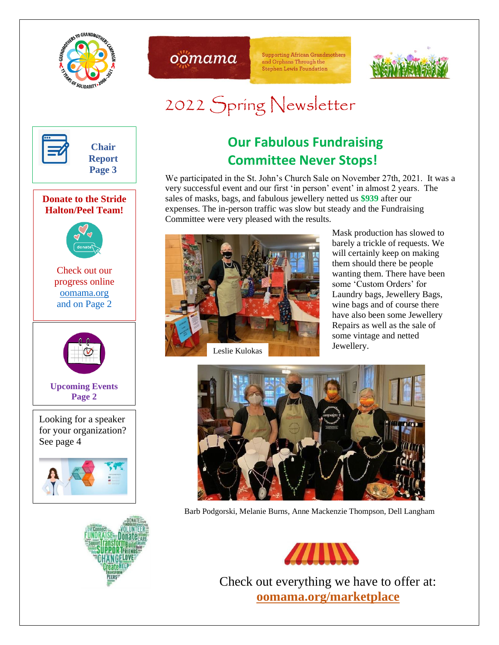



**Supporting African Grandmothers** and Orphans Through the **Stephen Lewis Foundation** 



# 2022 Spring Newsletter

1



#### **Donate to the Stride Halton/Peel Team!**



Check out our progress online [oomama.org](http://www.oomama.org/) and on Page 2



**Upcoming Events Page 2**

Looking for a speaker for your organization? See page 4





# **Our Fabulous Fundraising Committee Never Stops!**

We participated in the St. John's Church Sale on November 27th, 2021. It was a very successful event and our first 'in person' event' in almost 2 years. The sales of masks, bags, and fabulous jewellery netted us **\$939** after our expenses. The in-person traffic was slow but steady and the Fundraising Committee were very pleased with the results.



Mask production has slowed to barely a trickle of requests. We will certainly keep on making them should there be people wanting them. There have been some 'Custom Orders' for Laundry bags, Jewellery Bags, wine bags and of course there have also been some Jewellery Repairs as well as the sale of some vintage and netted Jewellery.



Barb Podgorski, Melanie Burns, Anne Mackenzie Thompson, Dell Langham



Check out everything we have to offer at: **[oomama.org/marketplace](http://oomama.org/marketplace)**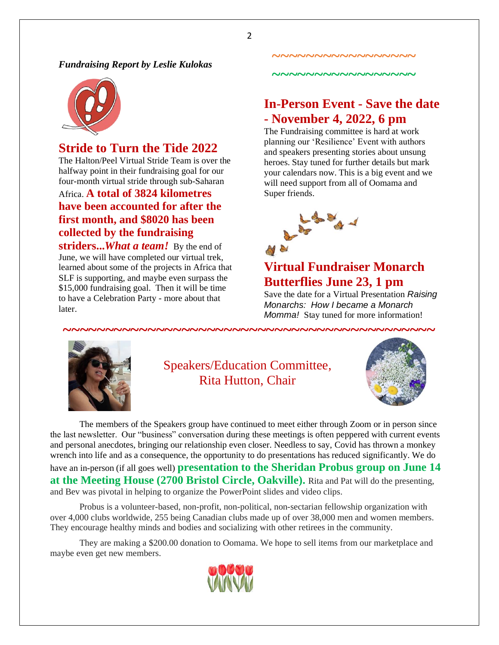*Fundraising Report by Leslie Kulokas*



# **Stride to Turn the Tide 2022**

The Halton/Peel Virtual Stride Team is over the halfway point in their fundraising goal for our four-month virtual stride through sub-Saharan Africa. **A total of 3824 kilometres have been accounted for after the first month, and \$8020 has been collected by the fundraising** 

**striders...***What a team!* By the end of June, we will have completed our virtual trek, learned about some of the projects in Africa that SLF is supporting, and maybe even surpass the \$15,000 fundraising goal. Then it will be time to have a Celebration Party - more about that later.

# **In-Person Event - Save the date - November 4, 2022, 6 pm**

**~~~~~~~~~~~~~~~~~**

**~~~~~~~~~~~~~~~~~**

The Fundraising committee is hard at work planning our 'Resilience' Event with authors and speakers presenting stories about unsung heroes. Stay tuned for further details but mark your calendars now. This is a big event and we will need support from all of Oomama and Super friends.



# **Virtual Fundraiser Monarch Butterflies June 23, 1 pm**

Save the date for a Virtual Presentation *Raising Monarchs: How I became a Monarch Momma!* Stay tuned for more information!



# Speakers/Education Committee, Rita Hutton, Chair



The members of the Speakers group have continued to meet either through Zoom or in person since the last newsletter. Our "business" conversation during these meetings is often peppered with current events and personal anecdotes, bringing our relationship even closer. Needless to say, Covid has thrown a monkey wrench into life and as a consequence, the opportunity to do presentations has reduced significantly. We do have an in-person (if all goes well) **presentation to the Sheridan Probus group on June 14 at the Meeting House (2700 Bristol Circle, Oakville).** Rita and Pat will do the presenting, and Bev was pivotal in helping to organize the PowerPoint slides and video clips.

Probus is a volunteer-based, non-profit, non-political, non-sectarian fellowship organization with over 4,000 clubs worldwide, 255 being Canadian clubs made up of over 38,000 men and women members. They encourage healthy minds and bodies and socializing with other retirees in the community.

They are making a \$200.00 donation to Oomama. We hope to sell items from our marketplace and maybe even get new members.



2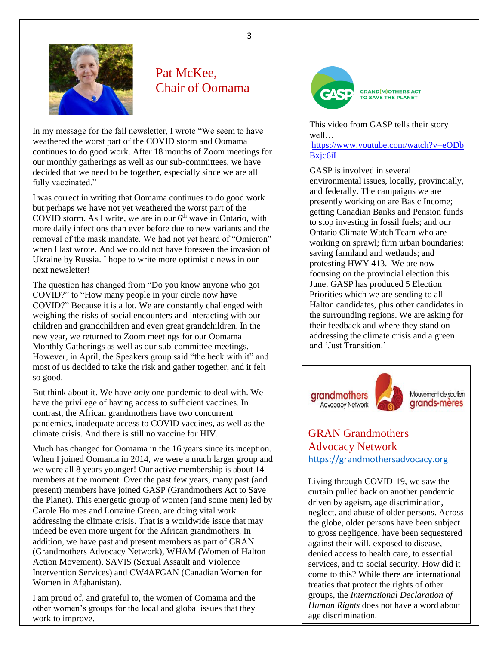

## Pat McKee, Chair of Oomama

In my message for the fall newsletter, I wrote "We seem to have weathered the worst part of the COVID storm and Oomama continues to do good work. After 18 months of Zoom meetings for our monthly gatherings as well as our sub-committees, we have decided that we need to be together, especially since we are all fully vaccinated."

I was correct in writing that Oomama continues to do good work but perhaps we have not yet weathered the worst part of the COVID storm. As I write, we are in our  $6<sup>th</sup>$  wave in Ontario, with more daily infections than ever before due to new variants and the removal of the mask mandate. We had not yet heard of "Omicron" when I last wrote. And we could not have foreseen the invasion of Ukraine by Russia. I hope to write more optimistic news in our next newsletter!

The question has changed from "Do you know anyone who got COVID?" to "How many people in your circle now have COVID?" Because it is a lot. We are constantly challenged with weighing the risks of social encounters and interacting with our children and grandchildren and even great grandchildren. In the new year, we returned to Zoom meetings for our Oomama Monthly Gatherings as well as our sub-committee meetings. However, in April, the Speakers group said "the heck with it" and most of us decided to take the risk and gather together, and it felt so good.

But think about it. We have *only* one pandemic to deal with. We have the privilege of having access to sufficient vaccines. In contrast, the African grandmothers have two concurrent pandemics, inadequate access to COVID vaccines, as well as the climate crisis. And there is still no vaccine for HIV.

Much has changed for Oomama in the 16 years since its inception. When I joined Oomama in 2014, we were a much larger group and we were all 8 years younger! Our active membership is about 14 members at the moment. Over the past few years, many past (and present) members have joined GASP (Grandmothers Act to Save the Planet). This energetic group of women (and some men) led by Carole Holmes and Lorraine Green, are doing vital work addressing the climate crisis. That is a worldwide issue that may indeed be even more urgent for the African grandmothers. In addition, we have past and present members as part of GRAN (Grandmothers Advocacy Network), WHAM (Women of Halton Action Movement), SAVIS (Sexual Assault and Violence Intervention Services) and CW4AFGAN (Canadian Women for Women in Afghanistan).

I am proud of, and grateful to, the women of Oomama and the other women's groups for the local and global issues that they work to improve.



**GRAND(M)OTHERS ACT** TO SAVE THE PLANET

This video from GASP tells their story well…

[https://www.youtube.com/watch?v=eODb](https://www.youtube.com/watch?v=eODbBxjc6iI) [Bxjc6iI](https://www.youtube.com/watch?v=eODbBxjc6iI)

GASP is involved in several environmental issues, locally, provincially, and federally. The campaigns we are presently working on are Basic Income; getting Canadian Banks and Pension funds to stop investing in fossil fuels; and our Ontario Climate Watch Team who are working on sprawl; firm urban boundaries; saving farmland and wetlands; and protesting HWY 413. We are now focusing on the provincial election this June. GASP has produced 5 Election Priorities which we are sending to all Halton candidates, plus other candidates in the surrounding regions. We are asking for their feedback and where they stand on addressing the climate crisis and a green and 'Just Transition.'







### GRAN Grandmothers Advocacy Network [https://grandmothersadvocacy.org](https://grandmothersadvocacy.org/)

Living through COVID-19, we saw the curtain pulled back on another pandemic driven by ageism, age discrimination, neglect, and abuse of older persons. Across the globe, older persons have been subject to gross negligence, have been sequestered against their will, exposed to disease, denied access to health care, to essential services, and to social security. How did it come to this? While there are international treaties that protect the rights of other groups, the *International Declaration of Human Rights* does not have a word about age discrimination.